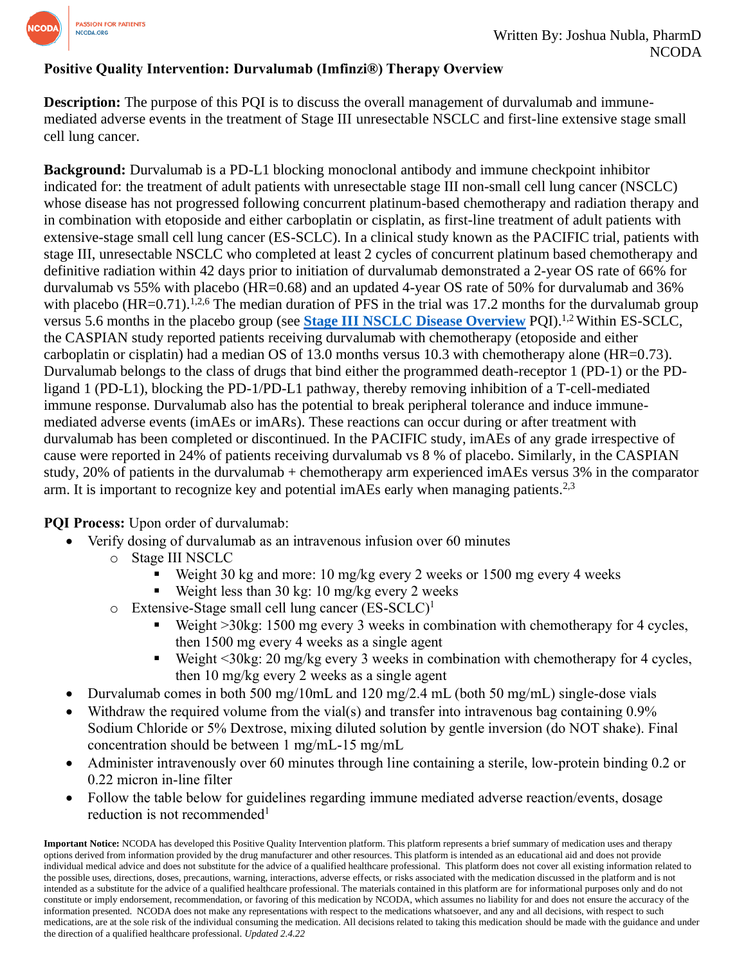

## **Positive Quality Intervention: Durvalumab (Imfinzi®) Therapy Overview**

**Description:** The purpose of this POI is to discuss the overall management of durvalumab and immunemediated adverse events in the treatment of Stage III unresectable NSCLC and first-line extensive stage small cell lung cancer.

**Background:** Durvalumab is a PD-L1 blocking monoclonal antibody and immune checkpoint inhibitor indicated for: the treatment of adult patients with unresectable stage III non-small cell lung cancer (NSCLC) whose disease has not progressed following concurrent platinum-based chemotherapy and radiation therapy and in combination with etoposide and either carboplatin or cisplatin, as first-line treatment of adult patients with extensive-stage small cell lung cancer (ES-SCLC). In a clinical study known as the PACIFIC trial, patients with stage III, unresectable NSCLC who completed at least 2 cycles of concurrent platinum based chemotherapy and definitive radiation within 42 days prior to initiation of durvalumab demonstrated a 2-year OS rate of 66% for durvalumab vs 55% with placebo (HR=0.68) and an updated 4-year OS rate of 50% for durvalumab and 36% with placebo (HR=0.71).<sup>1,2,6</sup> The median duration of PFS in the trial was 17.2 months for the durvalumab group versus 5.6 months in the placebo group (see **[Stage III NSCLC Disease Overview](https://www.ncoda.org/wp-content/uploads/pqis/Non-Small-Cell-Lung-Cancer-Stage-III-Overview-and-Patient-Eligibility-of-Durvalumab-Imfinzi-updated-3.9.22-1.pdf)** PQI).1,2 Within ES-SCLC, the CASPIAN study reported patients receiving durvalumab with chemotherapy (etoposide and either carboplatin or cisplatin) had a median OS of 13.0 months versus 10.3 with chemotherapy alone (HR=0.73). Durvalumab belongs to the class of drugs that bind either the programmed death-receptor 1 (PD-1) or the PDligand 1 (PD-L1), blocking the PD-1/PD-L1 pathway, thereby removing inhibition of a T-cell-mediated immune response. Durvalumab also has the potential to break peripheral tolerance and induce immunemediated adverse events (imAEs or imARs). These reactions can occur during or after treatment with durvalumab has been completed or discontinued. In the PACIFIC study, imAEs of any grade irrespective of cause were reported in 24% of patients receiving durvalumab vs 8 % of placebo. Similarly, in the CASPIAN study, 20% of patients in the durvalumab + chemotherapy arm experienced imAEs versus 3% in the comparator arm. It is important to recognize key and potential imAEs early when managing patients.<sup>2,3</sup>

**PQI Process:** Upon order of durvalumab:

- Verify dosing of durvalumab as an intravenous infusion over 60 minutes
	- o Stage III NSCLC
		- Weight 30 kg and more:  $10 \text{ mg/kg}$  every 2 weeks or  $1500 \text{ mg}$  every 4 weeks
		- E Weight less than 30 kg: 10 mg/kg every 2 weeks
	- $\circ$  Extensive-Stage small cell lung cancer (ES-SCLC)<sup>1</sup>
		- E Weight  $>30$ kg: 1500 mg every 3 weeks in combination with chemotherapy for 4 cycles, then 1500 mg every 4 weeks as a single agent
		- Weight <30kg: 20 mg/kg every 3 weeks in combination with chemotherapy for 4 cycles, then 10 mg/kg every 2 weeks as a single agent
- Durvalumab comes in both 500 mg/10mL and 120 mg/2.4 mL (both 50 mg/mL) single-dose vials
- Withdraw the required volume from the vial(s) and transfer into intravenous bag containing 0.9% Sodium Chloride or 5% Dextrose, mixing diluted solution by gentle inversion (do NOT shake). Final concentration should be between 1 mg/mL-15 mg/mL
- Administer intravenously over 60 minutes through line containing a sterile, low-protein binding 0.2 or 0.22 micron in-line filter
- Follow the table below for guidelines regarding immune mediated adverse reaction/events, dosage reduction is not recommended<sup>1</sup>

**Important Notice:** NCODA has developed this Positive Quality Intervention platform. This platform represents a brief summary of medication uses and therapy options derived from information provided by the drug manufacturer and other resources. This platform is intended as an educational aid and does not provide individual medical advice and does not substitute for the advice of a qualified healthcare professional. This platform does not cover all existing information related to the possible uses, directions, doses, precautions, warning, interactions, adverse effects, or risks associated with the medication discussed in the platform and is not intended as a substitute for the advice of a qualified healthcare professional. The materials contained in this platform are for informational purposes only and do not constitute or imply endorsement, recommendation, or favoring of this medication by NCODA, which assumes no liability for and does not ensure the accuracy of the information presented. NCODA does not make any representations with respect to the medications whatsoever, and any and all decisions, with respect to such medications, are at the sole risk of the individual consuming the medication. All decisions related to taking this medication should be made with the guidance and under the direction of a qualified healthcare professional. *Updated 2.4.22*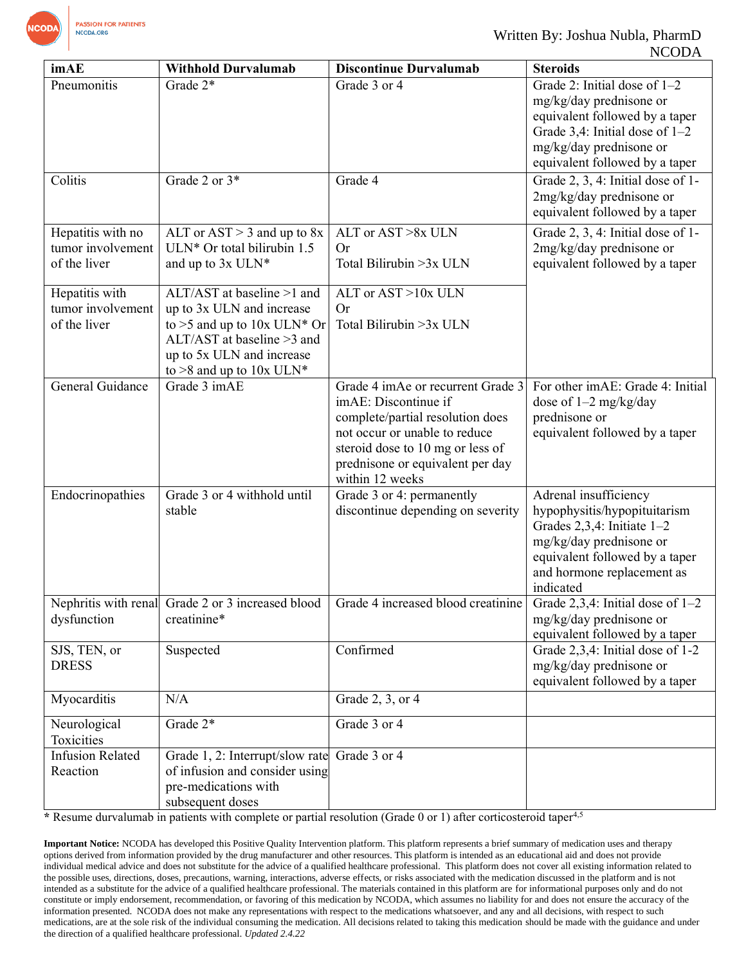

| imAE                                                   | <b>Withhold Durvalumab</b>                                                                                                                                                            | <b>Discontinue Durvalumab</b>                                                                                                                                                                                             | <b>Steroids</b>                                                                                                                                                                                  |
|--------------------------------------------------------|---------------------------------------------------------------------------------------------------------------------------------------------------------------------------------------|---------------------------------------------------------------------------------------------------------------------------------------------------------------------------------------------------------------------------|--------------------------------------------------------------------------------------------------------------------------------------------------------------------------------------------------|
| Pneumonitis                                            | Grade $2*$                                                                                                                                                                            | Grade 3 or 4                                                                                                                                                                                                              | Grade 2: Initial dose of $1-2$<br>mg/kg/day prednisone or<br>equivalent followed by a taper<br>Grade 3,4: Initial dose of $1-2$<br>mg/kg/day prednisone or<br>equivalent followed by a taper     |
| Colitis                                                | Grade 2 or 3*                                                                                                                                                                         | Grade 4                                                                                                                                                                                                                   | Grade 2, 3, 4: Initial dose of 1-<br>2mg/kg/day prednisone or<br>equivalent followed by a taper                                                                                                  |
| Hepatitis with no<br>tumor involvement<br>of the liver | ALT or $AST > 3$ and up to $8x$<br>ULN* Or total bilirubin 1.5<br>and up to 3x ULN*                                                                                                   | ALT or AST >8x ULN<br>Or<br>Total Bilirubin > 3x ULN                                                                                                                                                                      | Grade 2, 3, 4: Initial dose of 1-<br>2mg/kg/day prednisone or<br>equivalent followed by a taper                                                                                                  |
| Hepatitis with<br>tumor involvement<br>of the liver    | ALT/AST at baseline >1 and<br>up to 3x ULN and increase<br>to >5 and up to $10x$ ULN* Or<br>$ALT/AST$ at baseline >3 and<br>up to 5x ULN and increase<br>to $>8$ and up to $10x$ ULN* | ALT or AST > 10x ULN<br><b>Or</b><br>Total Bilirubin > 3x ULN                                                                                                                                                             |                                                                                                                                                                                                  |
| General Guidance                                       | Grade 3 imAE                                                                                                                                                                          | Grade 4 imAe or recurrent Grade 3<br>imAE: Discontinue if<br>complete/partial resolution does<br>not occur or unable to reduce<br>steroid dose to 10 mg or less of<br>prednisone or equivalent per day<br>within 12 weeks | For other imAE: Grade 4: Initial<br>dose of $1-2$ mg/kg/day<br>prednisone or<br>equivalent followed by a taper                                                                                   |
| Endocrinopathies                                       | Grade 3 or 4 withhold until<br>stable                                                                                                                                                 | Grade 3 or 4: permanently<br>discontinue depending on severity                                                                                                                                                            | Adrenal insufficiency<br>hypophysitis/hypopituitarism<br>Grades $2,3,4$ : Initiate $1-2$<br>mg/kg/day prednisone or<br>equivalent followed by a taper<br>and hormone replacement as<br>indicated |
| dysfunction                                            | creatinine*                                                                                                                                                                           | Nephritis with renal Grade 2 or 3 increased blood $\vert$ Grade 4 increased blood creatinine                                                                                                                              | Grade $2,3,4$ : Initial dose of $1-2$<br>mg/kg/day prednisone or<br>equivalent followed by a taper                                                                                               |
| SJS, TEN, or<br><b>DRESS</b>                           | Suspected                                                                                                                                                                             | Confirmed                                                                                                                                                                                                                 | Grade 2,3,4: Initial dose of 1-2<br>mg/kg/day prednisone or<br>equivalent followed by a taper                                                                                                    |
| Myocarditis                                            | N/A                                                                                                                                                                                   | Grade 2, 3, or 4                                                                                                                                                                                                          |                                                                                                                                                                                                  |
| Neurological<br>Toxicities                             | Grade 2*                                                                                                                                                                              | Grade 3 or 4                                                                                                                                                                                                              |                                                                                                                                                                                                  |
| <b>Infusion Related</b><br>Reaction                    | Grade 1, 2: Interrupt/slow rate<br>of infusion and consider using<br>pre-medications with<br>subsequent doses                                                                         | Grade 3 or 4                                                                                                                                                                                                              |                                                                                                                                                                                                  |

**\*** Resume durvalumab in patients with complete or partial resolution (Grade 0 or 1) after corticosteroid taper4,5

**Important Notice:** NCODA has developed this Positive Quality Intervention platform. This platform represents a brief summary of medication uses and therapy options derived from information provided by the drug manufacturer and other resources. This platform is intended as an educational aid and does not provide individual medical advice and does not substitute for the advice of a qualified healthcare professional. This platform does not cover all existing information related to the possible uses, directions, doses, precautions, warning, interactions, adverse effects, or risks associated with the medication discussed in the platform and is not intended as a substitute for the advice of a qualified healthcare professional. The materials contained in this platform are for informational purposes only and do not constitute or imply endorsement, recommendation, or favoring of this medication by NCODA, which assumes no liability for and does not ensure the accuracy of the information presented. NCODA does not make any representations with respect to the medications whatsoever, and any and all decisions, with respect to such medications, are at the sole risk of the individual consuming the medication. All decisions related to taking this medication should be made with the guidance and under the direction of a qualified healthcare professional. *Updated 2.4.22*